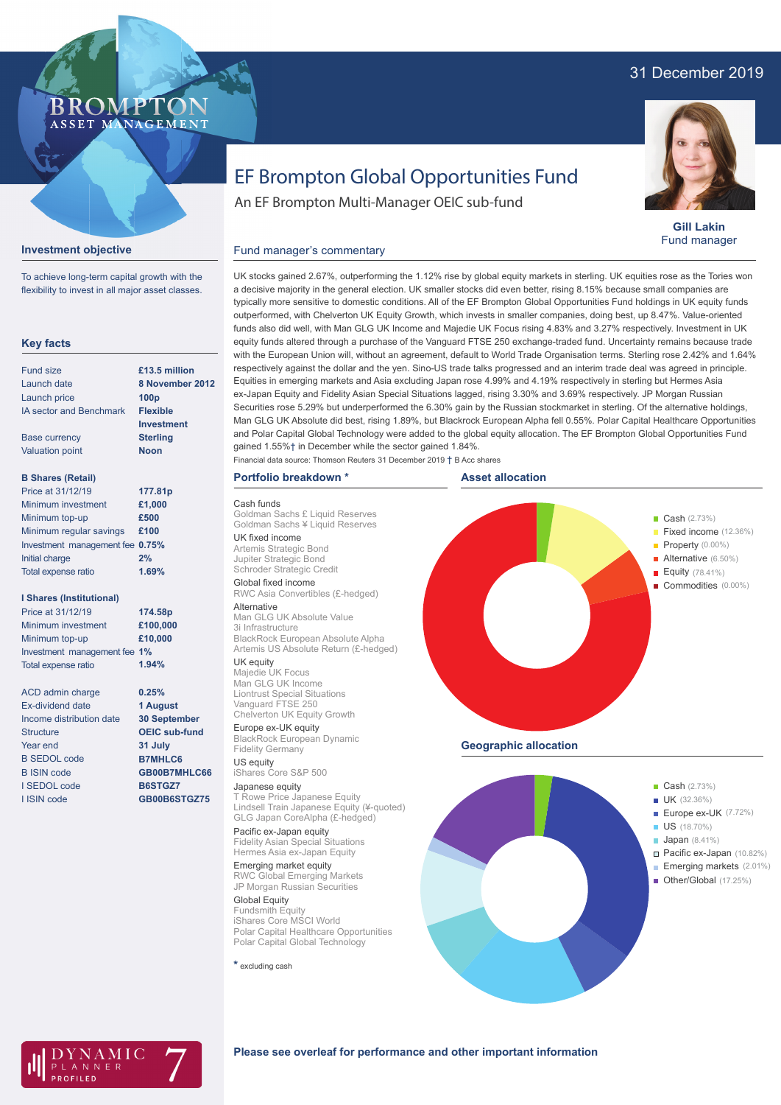# 31 December 2019



**Gill Lakin** Fund manager

# EF Brompton Global Opportunities Fund

An EF Brompton Multi-Manager OEIC sub-fund

### **Investment objective**

To achieve long-term capital growth with the flexibility to invest in all major asset classes.

BROMP

ASSET MANAGEMENT

#### **Key facts**

| <b>Fund size</b>                | $£13.5$ million |
|---------------------------------|-----------------|
| Launch date                     | 8 November 2012 |
| Launch price                    | 100p            |
| <b>IA sector and Benchmark</b>  | <b>Flexible</b> |
|                                 | Investment      |
| <b>Base currency</b>            | <b>Sterling</b> |
| <b>Valuation point</b>          | <b>Noon</b>     |
|                                 |                 |
| <b>B Shares (Retail)</b>        |                 |
| Price at 31/12/19               | 177.81p         |
| Minimum investment              | £1,000          |
| Minimum top-up                  | £500            |
| Minimum regular savings         | £100            |
| Investment management fee 0.75% |                 |
| Initial charge                  | 2%              |
| Total expense ratio             | 1.69%           |
|                                 |                 |

### **I Shares (Institutional)**

| Price at 31/12/19            | 174.58p  |
|------------------------------|----------|
| Minimum investment           | £100,000 |
| Minimum top-up               | £10,000  |
| Investment management fee 1% |          |
| Total expense ratio          | 1.94%    |
|                              |          |
| <b>ACD admin charge</b>      | 0.25%    |

**1 August**

| Ex-dividend date         | 1 August             |
|--------------------------|----------------------|
| Income distribution date | <b>30 September</b>  |
| <b>Structure</b>         | <b>OEIC sub-fund</b> |
| Year end                 | 31 July              |
| <b>B SEDOL code</b>      | <b>B7MHLC6</b>       |
| <b>B ISIN code</b>       | GB00B7MHLC66         |
| I SEDOL code             | B6STGZ7              |
| <b>I ISIN code</b>       | GB00B6STGZ75         |

#### UK stocks gained 2.67%, outperforming the 1.12% rise by global equity markets in sterling. UK equities rose as the Tories won a decisive majority in the general election. UK smaller stocks did even better, rising 8.15% because small companies are typically more sensitive to domestic conditions. All of the EF Brompton Global Opportunities Fund holdings in UK equity funds outperformed, with Chelverton UK Equity Growth, which invests in smaller companies, doing best, up 8.47%. Value-oriented funds also did well, with Man GLG UK Income and Majedie UK Focus rising 4.83% and 3.27% respectively. Investment in UK equity funds altered through a purchase of the Vanguard FTSE 250 exchange-traded fund. Uncertainty remains because trade with the European Union will, without an agreement, default to World Trade Organisation terms. Sterling rose 2.42% and 1.64% respectively against the dollar and the yen. Sino-US trade talks progressed and an interim trade deal was agreed in principle. Equities in emerging markets and Asia excluding Japan rose 4.99% and 4.19% respectively in sterling but Hermes Asia ex-Japan Equity and Fidelity Asian Special Situations lagged, rising 3.30% and 3.69% respectively. JP Morgan Russian Securities rose 5.29% but underperformed the 6.30% gain by the Russian stockmarket in sterling. Of the alternative holdings, Man GLG UK Absolute did best, rising 1.89%, but Blackrock European Alpha fell 0.55%. Polar Capital Healthcare Opportunities and Polar Capital Global Technology were added to the global equity allocation. The EF Brompton Global Opportunities Fund gained 1.55%† in December while the sector gained 1.84%.

Financial data source: Thomson Reuters 31 December 2019 † B Acc shares

# **Portfolio breakdown \***

Cash funds Goldman Sachs £ Liquid Reserves Goldman Sachs ¥ Liquid Reserves UK fixed income Artemis Strategic Bond Jupiter Strategic Bond Schroder Strategic Credit Global fixed income RWC Asia Convertibles (£-hedged) Alternative Man GLG UK Absolute Value 3i Infrastructure BlackRock European Absolute Alpha Artemis US Absolute Return (£-hedged) UK equity Majedie UK Focus Man GLG UK Income Liontrust Special Situations Vanguard FTSE 250 Chelverton UK Equity Growth Europe ex-UK equity

Fund manager's commentary

BlackRock European Dynamic Fidelity Germany US equity

#### iShares Core S&P 500 Japanese equity

T Rowe Price Japanese Equity Lindsell Train Japanese Equity (¥-quoted) GLG Japan CoreAlpha (£-hedged) Pacific ex-Japan equity

Fidelity Asian Special Situations Hermes Asia ex-Japan Equity

Emerging market equity RWC Global Emerging Markets JP Morgan Russian Securities

Global Equity Fundsmith Equity iShares Core MSCI World Polar Capital Healthcare Opportunities Polar Capital Global Technology

**\*** excluding cash